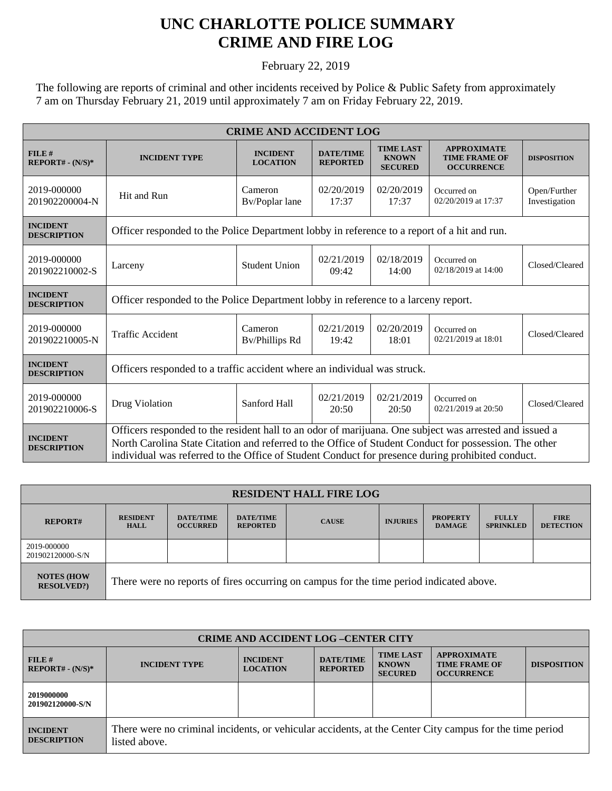## **UNC CHARLOTTE POLICE SUMMARY CRIME AND FIRE LOG**

February 22, 2019

The following are reports of criminal and other incidents received by Police & Public Safety from approximately 7 am on Thursday February 21, 2019 until approximately 7 am on Friday February 22, 2019.

| <b>CRIME AND ACCIDENT LOG</b>         |                                                                                                                                                                                                                                                                                                                     |                                    |                                     |                                                           |                                                                 |                               |  |
|---------------------------------------|---------------------------------------------------------------------------------------------------------------------------------------------------------------------------------------------------------------------------------------------------------------------------------------------------------------------|------------------------------------|-------------------------------------|-----------------------------------------------------------|-----------------------------------------------------------------|-------------------------------|--|
| FILE#<br>REPORT# - (N/S)*             | <b>INCIDENT TYPE</b>                                                                                                                                                                                                                                                                                                | <b>INCIDENT</b><br><b>LOCATION</b> | <b>DATE/TIME</b><br><b>REPORTED</b> | <b>TIME LAST</b><br><b>KNOWN</b><br><b>SECURED</b>        | <b>APPROXIMATE</b><br><b>TIME FRAME OF</b><br><b>OCCURRENCE</b> | <b>DISPOSITION</b>            |  |
| 2019-000000<br>201902200004-N         | Hit and Run                                                                                                                                                                                                                                                                                                         | Cameron<br>Bv/Poplar lane          | 02/20/2019<br>17:37                 | 02/20/2019<br>17:37                                       | Occurred on<br>02/20/2019 at 17:37                              | Open/Further<br>Investigation |  |
| <b>INCIDENT</b><br><b>DESCRIPTION</b> | Officer responded to the Police Department lobby in reference to a report of a hit and run.                                                                                                                                                                                                                         |                                    |                                     |                                                           |                                                                 |                               |  |
| 2019-000000<br>201902210002-S         | Larceny                                                                                                                                                                                                                                                                                                             | <b>Student Union</b>               | 02/21/2019<br>09:42                 | 02/18/2019<br>14:00                                       | Occurred on<br>02/18/2019 at 14:00                              | Closed/Cleared                |  |
| <b>INCIDENT</b><br><b>DESCRIPTION</b> | Officer responded to the Police Department lobby in reference to a larceny report.                                                                                                                                                                                                                                  |                                    |                                     |                                                           |                                                                 |                               |  |
| 2019-000000<br>201902210005-N         | <b>Traffic Accident</b>                                                                                                                                                                                                                                                                                             | Cameron<br>By/Phillips Rd          | 02/21/2019<br>19:42                 | 02/20/2019<br>Occurred on<br>02/21/2019 at 18:01<br>18:01 |                                                                 | Closed/Cleared                |  |
| <b>INCIDENT</b><br><b>DESCRIPTION</b> | Officers responded to a traffic accident where an individual was struck.                                                                                                                                                                                                                                            |                                    |                                     |                                                           |                                                                 |                               |  |
| 2019-000000<br>201902210006-S         | Drug Violation                                                                                                                                                                                                                                                                                                      | Sanford Hall                       | 02/21/2019<br>20:50                 | 02/21/2019<br>20:50                                       | Occurred on<br>02/21/2019 at 20:50                              | Closed/Cleared                |  |
| <b>INCIDENT</b><br><b>DESCRIPTION</b> | Officers responded to the resident hall to an odor of marijuana. One subject was arrested and issued a<br>North Carolina State Citation and referred to the Office of Student Conduct for possession. The other<br>individual was referred to the Office of Student Conduct for presence during prohibited conduct. |                                    |                                     |                                                           |                                                                 |                               |  |

| <b>RESIDENT HALL FIRE LOG</b>         |                                                                                         |                                     |                                     |              |                 |                                  |                                  |                                 |
|---------------------------------------|-----------------------------------------------------------------------------------------|-------------------------------------|-------------------------------------|--------------|-----------------|----------------------------------|----------------------------------|---------------------------------|
| <b>REPORT#</b>                        | <b>RESIDENT</b><br><b>HALL</b>                                                          | <b>DATE/TIME</b><br><b>OCCURRED</b> | <b>DATE/TIME</b><br><b>REPORTED</b> | <b>CAUSE</b> | <b>INJURIES</b> | <b>PROPERTY</b><br><b>DAMAGE</b> | <b>FULLY</b><br><b>SPRINKLED</b> | <b>FIRE</b><br><b>DETECTION</b> |
| 2019-000000<br>201902120000-S/N       |                                                                                         |                                     |                                     |              |                 |                                  |                                  |                                 |
| <b>NOTES (HOW</b><br><b>RESOLVED?</b> | There were no reports of fires occurring on campus for the time period indicated above. |                                     |                                     |              |                 |                                  |                                  |                                 |

| <b>CRIME AND ACCIDENT LOG-CENTER CITY</b> |                                                                                                                          |                                    |                                     |                                                    |                                                                 |                    |
|-------------------------------------------|--------------------------------------------------------------------------------------------------------------------------|------------------------------------|-------------------------------------|----------------------------------------------------|-----------------------------------------------------------------|--------------------|
| FILE#<br>$REPORT# - (N/S)*$               | <b>INCIDENT TYPE</b>                                                                                                     | <b>INCIDENT</b><br><b>LOCATION</b> | <b>DATE/TIME</b><br><b>REPORTED</b> | <b>TIME LAST</b><br><b>KNOWN</b><br><b>SECURED</b> | <b>APPROXIMATE</b><br><b>TIME FRAME OF</b><br><b>OCCURRENCE</b> | <b>DISPOSITION</b> |
| 2019000000<br>201902120000-S/N            |                                                                                                                          |                                    |                                     |                                                    |                                                                 |                    |
| <b>INCIDENT</b><br><b>DESCRIPTION</b>     | There were no criminal incidents, or vehicular accidents, at the Center City campus for the time period<br>listed above. |                                    |                                     |                                                    |                                                                 |                    |